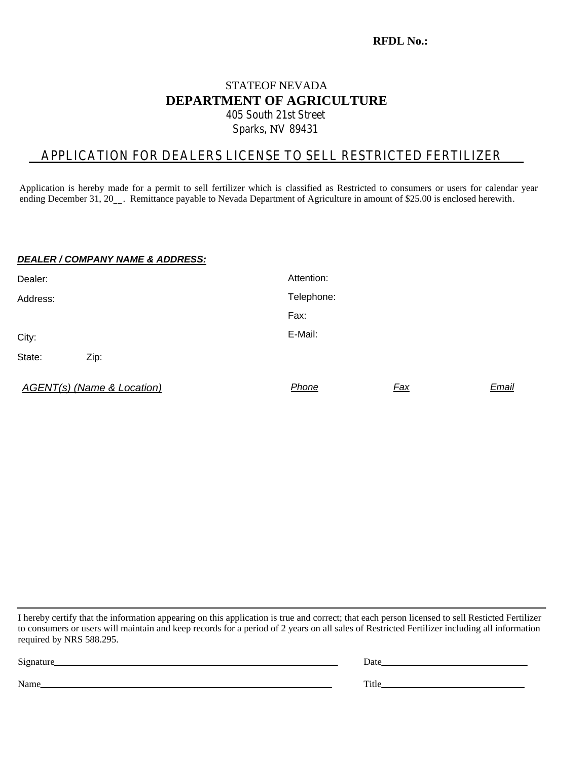#### **RFDL No.:**

### STATEOF NEVADA **DEPARTMENT OF AGRICULTURE** 405 South 21st Street Sparks, NV 89431

### APPLICATION FOR DEALERS LICENSE TO SELL RESTRICTED FERTILIZER

Application is hereby made for a permit to sell fertilizer which is classified as Restricted to consumers or users for calendar year ending December 31, 20\_\_. Remittance payable to Nevada Department of Agriculture in amount of \$25.00 is enclosed herewith.

#### *DEALER / COMPANY NAME & ADDRESS:*

| Dealer:  |                                       | Attention: |            |       |
|----------|---------------------------------------|------------|------------|-------|
| Address: |                                       | Telephone: |            |       |
|          |                                       | Fax:       |            |       |
| City:    |                                       | E-Mail:    |            |       |
| State:   | Zip:                                  |            |            |       |
|          | <b>AGENT(s) (Name &amp; Location)</b> | Phone      | <b>Fax</b> | Email |

I hereby certify that the information appearing on this application is true and correct; that each person licensed to sell Resticted Fertilizer to consumers or users will maintain and keep records for a period of 2 years on all sales of Restricted Fertilizer including all information required by NRS 588.295.

| Signature |  |
|-----------|--|
|           |  |

Signature Date Date Date Date Date Districts of the United States of the United States of the United States of the United States of the United States of the United States of the United States of the United States of the Un

Name Title The Contract of the Contract of the Contract of the Title Title Title Title Theorem is not the Contract of the Contract of the Contract of the Contract of the Contract of the Contract of the Contract of the Cont